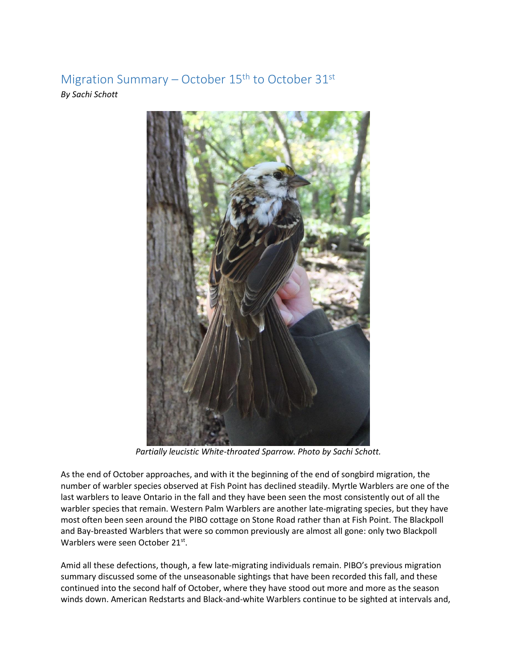Migration Summary – October  $15<sup>th</sup>$  to October  $31<sup>st</sup>$ *By Sachi Schott*



*Partially leucistic White-throated Sparrow. Photo by Sachi Schott.*

As the end of October approaches, and with it the beginning of the end of songbird migration, the number of warbler species observed at Fish Point has declined steadily. Myrtle Warblers are one of the last warblers to leave Ontario in the fall and they have been seen the most consistently out of all the warbler species that remain. Western Palm Warblers are another late-migrating species, but they have most often been seen around the PIBO cottage on Stone Road rather than at Fish Point. The Blackpoll and Bay-breasted Warblers that were so common previously are almost all gone: only two Blackpoll Warblers were seen October 21st.

Amid all these defections, though, a few late-migrating individuals remain. PIBO's previous migration summary discussed some of the unseasonable sightings that have been recorded this fall, and these continued into the second half of October, where they have stood out more and more as the season winds down. American Redstarts and Black-and-white Warblers continue to be sighted at intervals and,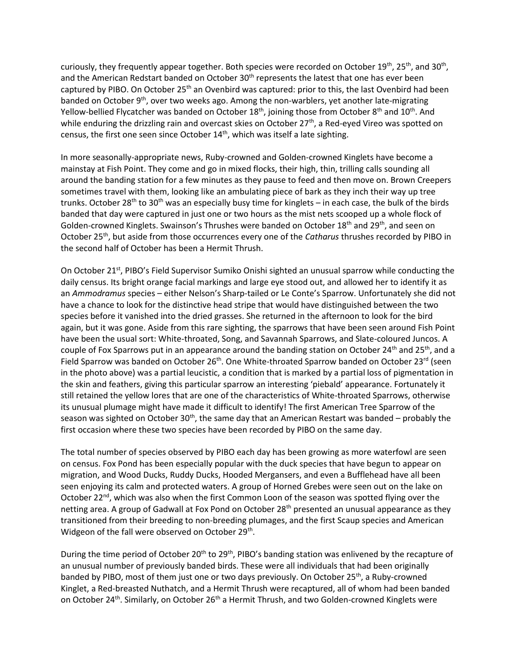curiously, they frequently appear together. Both species were recorded on October 19<sup>th</sup>, 25<sup>th</sup>, and 30<sup>th</sup>, and the American Redstart banded on October  $30<sup>th</sup>$  represents the latest that one has ever been captured by PIBO. On October 25<sup>th</sup> an Ovenbird was captured: prior to this, the last Ovenbird had been banded on October 9th, over two weeks ago. Among the non-warblers, yet another late-migrating Yellow-bellied Flycatcher was banded on October 18<sup>th</sup>, joining those from October 8<sup>th</sup> and 10<sup>th</sup>. And while enduring the drizzling rain and overcast skies on October 27<sup>th</sup>, a Red-eyed Vireo was spotted on census, the first one seen since October 14<sup>th</sup>, which was itself a late sighting.

In more seasonally-appropriate news, Ruby-crowned and Golden-crowned Kinglets have become a mainstay at Fish Point. They come and go in mixed flocks, their high, thin, trilling calls sounding all around the banding station for a few minutes as they pause to feed and then move on. Brown Creepers sometimes travel with them, looking like an ambulating piece of bark as they inch their way up tree trunks. October 28<sup>th</sup> to 30<sup>th</sup> was an especially busy time for kinglets – in each case, the bulk of the birds banded that day were captured in just one or two hours as the mist nets scooped up a whole flock of Golden-crowned Kinglets. Swainson's Thrushes were banded on October  $18<sup>th</sup>$  and  $29<sup>th</sup>$ , and seen on October 25th, but aside from those occurrences every one of the *Catharus* thrushes recorded by PIBO in the second half of October has been a Hermit Thrush.

On October 21<sup>st</sup>, PIBO's Field Supervisor Sumiko Onishi sighted an unusual sparrow while conducting the daily census. Its bright orange facial markings and large eye stood out, and allowed her to identify it as an *Ammodramus* species – either Nelson's Sharp-tailed or Le Conte's Sparrow. Unfortunately she did not have a chance to look for the distinctive head stripe that would have distinguished between the two species before it vanished into the dried grasses. She returned in the afternoon to look for the bird again, but it was gone. Aside from this rare sighting, the sparrows that have been seen around Fish Point have been the usual sort: White-throated, Song, and Savannah Sparrows, and Slate-coloured Juncos. A couple of Fox Sparrows put in an appearance around the banding station on October 24<sup>th</sup> and 25<sup>th</sup>, and a Field Sparrow was banded on October 26<sup>th</sup>. One White-throated Sparrow banded on October 23<sup>rd</sup> (seen in the photo above) was a partial leucistic, a condition that is marked by a partial loss of pigmentation in the skin and feathers, giving this particular sparrow an interesting 'piebald' appearance. Fortunately it still retained the yellow lores that are one of the characteristics of White-throated Sparrows, otherwise its unusual plumage might have made it difficult to identify! The first American Tree Sparrow of the season was sighted on October 30<sup>th</sup>, the same day that an American Restart was banded – probably the first occasion where these two species have been recorded by PIBO on the same day.

The total number of species observed by PIBO each day has been growing as more waterfowl are seen on census. Fox Pond has been especially popular with the duck species that have begun to appear on migration, and Wood Ducks, Ruddy Ducks, Hooded Mergansers, and even a Bufflehead have all been seen enjoying its calm and protected waters. A group of Horned Grebes were seen out on the lake on October 22<sup>nd</sup>, which was also when the first Common Loon of the season was spotted flying over the netting area. A group of Gadwall at Fox Pond on October 28<sup>th</sup> presented an unusual appearance as they transitioned from their breeding to non-breeding plumages, and the first Scaup species and American Widgeon of the fall were observed on October 29<sup>th</sup>.

During the time period of October 20<sup>th</sup> to 29<sup>th</sup>, PIBO's banding station was enlivened by the recapture of an unusual number of previously banded birds. These were all individuals that had been originally banded by PIBO, most of them just one or two days previously. On October 25<sup>th</sup>, a Ruby-crowned Kinglet, a Red-breasted Nuthatch, and a Hermit Thrush were recaptured, all of whom had been banded on October 24<sup>th</sup>. Similarly, on October 26<sup>th</sup> a Hermit Thrush, and two Golden-crowned Kinglets were